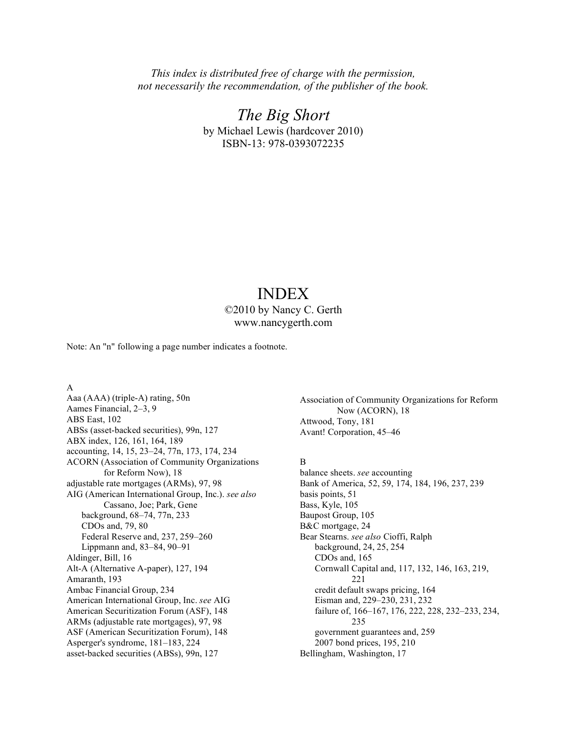*This index is distributed free of charge with the permission, not necessarily the recommendation, of the publisher of the book.*

> *The Big Short* by Michael Lewis (hardcover 2010) ISBN-13: 978-0393072235

# INDEX

©2010 by Nancy C. Gerth www.nancygerth.com

Note: An "n" following a page number indicates a footnote.

A

Aaa (AAA) (triple-A) rating, 50n Aames Financial, 2–3, 9 ABS East, 102 ABSs (asset-backed securities), 99n, 127 ABX index, 126, 161, 164, 189 accounting, 14, 15, 23–24, 77n, 173, 174, 234 ACORN (Association of Community Organizations for Reform Now), 18 adjustable rate mortgages (ARMs), 97, 98 AIG (American International Group, Inc.). *see also* Cassano, Joe; Park, Gene background, 68–74, 77n, 233 CDOs and, 79, 80 Federal Reserve and, 237, 259–260 Lippmann and, 83–84, 90–91 Aldinger, Bill, 16 Alt-A (Alternative A-paper), 127, 194 Amaranth, 193 Ambac Financial Group, 234 American International Group, Inc. *see* AIG American Securitization Forum (ASF), 148 ARMs (adjustable rate mortgages), 97, 98 ASF (American Securitization Forum), 148 Asperger's syndrome, 181–183, 224 asset-backed securities (ABSs), 99n, 127

Association of Community Organizations for Reform Now (ACORN), 18 Attwood, Tony, 181 Avant! Corporation, 45–46

# B

balance sheets. *see* accounting Bank of America, 52, 59, 174, 184, 196, 237, 239 basis points, 51 Bass, Kyle, 105 Baupost Group, 105 B&C mortgage, 24 Bear Stearns. *see also* Cioffi, Ralph background, 24, 25, 254 CDOs and, 165 Cornwall Capital and, 117, 132, 146, 163, 219, 221 credit default swaps pricing, 164 Eisman and, 229–230, 231, 232 failure of, 166–167, 176, 222, 228, 232–233, 234, 235 government guarantees and, 259 2007 bond prices, 195, 210 Bellingham, Washington, 17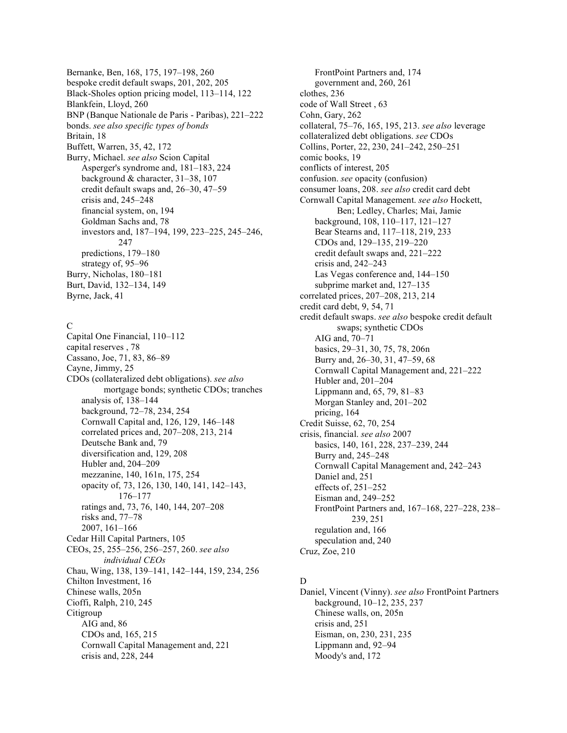Bernanke, Ben, 168, 175, 197–198, 260 bespoke credit default swaps, 201, 202, 205 Black-Sholes option pricing model, 113–114, 122 Blankfein, Lloyd, 260 BNP (Banque Nationale de Paris - Paribas), 221–222 bonds. *see also specific types of bonds* Britain, 18 Buffett, Warren, 35, 42, 172 Burry, Michael. *see also* Scion Capital Asperger's syndrome and, 181–183, 224 background & character, 31–38, 107 credit default swaps and, 26–30, 47–59 crisis and, 245–248 financial system, on, 194 Goldman Sachs and, 78 investors and, 187–194, 199, 223–225, 245–246, 247 predictions, 179–180 strategy of, 95–96 Burry, Nicholas, 180–181 Burt, David, 132–134, 149 Byrne, Jack, 41

# C

Capital One Financial, 110–112 capital reserves , 78 Cassano, Joe, 71, 83, 86–89 Cayne, Jimmy, 25 CDOs (collateralized debt obligations). *see also* mortgage bonds; synthetic CDOs; tranches analysis of, 138–144 background, 72–78, 234, 254 Cornwall Capital and, 126, 129, 146–148 correlated prices and, 207–208, 213, 214 Deutsche Bank and, 79 diversification and, 129, 208 Hubler and, 204–209 mezzanine, 140, 161n, 175, 254 opacity of, 73, 126, 130, 140, 141, 142–143, 176–177 ratings and, 73, 76, 140, 144, 207–208 risks and, 77–78 2007, 161–166 Cedar Hill Capital Partners, 105 CEOs, 25, 255–256, 256–257, 260. *see also individual CEOs* Chau, Wing, 138, 139–141, 142–144, 159, 234, 256 Chilton Investment, 16 Chinese walls, 205n Cioffi, Ralph, 210, 245 Citigroup AIG and, 86 CDOs and, 165, 215 Cornwall Capital Management and, 221 crisis and, 228, 244

FrontPoint Partners and, 174 government and, 260, 261 clothes, 236 code of Wall Street , 63 Cohn, Gary, 262 collateral, 75–76, 165, 195, 213. *see also* leverage collateralized debt obligations. *see* CDOs Collins, Porter, 22, 230, 241–242, 250–251 comic books, 19 conflicts of interest, 205 confusion. *see* opacity (confusion) consumer loans, 208. *see also* credit card debt Cornwall Capital Management. *see also* Hockett, Ben; Ledley, Charles; Mai, Jamie background, 108, 110–117, 121–127 Bear Stearns and, 117–118, 219, 233 CDOs and, 129–135, 219–220 credit default swaps and, 221–222 crisis and, 242–243 Las Vegas conference and, 144–150 subprime market and, 127–135 correlated prices, 207–208, 213, 214 credit card debt, 9, 54, 71 credit default swaps. *see also* bespoke credit default swaps; synthetic CDOs AIG and, 70–71 basics, 29–31, 30, 75, 78, 206n Burry and, 26–30, 31, 47–59, 68 Cornwall Capital Management and, 221–222 Hubler and, 201–204 Lippmann and, 65, 79, 81–83 Morgan Stanley and, 201–202 pricing, 164 Credit Suisse, 62, 70, 254 crisis, financial. *see also* 2007 basics, 140, 161, 228, 237–239, 244 Burry and, 245–248 Cornwall Capital Management and, 242–243 Daniel and, 251 effects of, 251–252 Eisman and, 249–252 FrontPoint Partners and, 167–168, 227–228, 238– 239, 251 regulation and, 166 speculation and, 240 Cruz, Zoe, 210

# D

Daniel, Vincent (Vinny). *see also* FrontPoint Partners background, 10–12, 235, 237 Chinese walls, on, 205n crisis and, 251 Eisman, on, 230, 231, 235 Lippmann and, 92–94 Moody's and, 172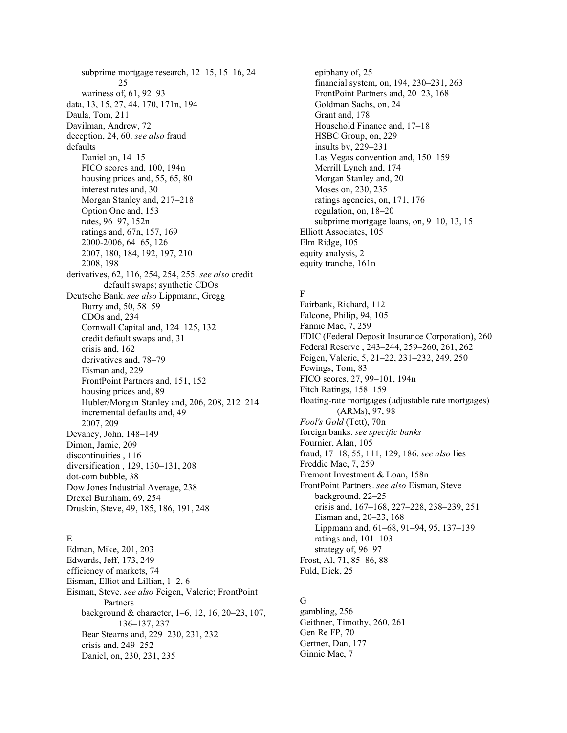subprime mortgage research, 12–15, 15–16, 24– 25 wariness of, 61, 92–93 data, 13, 15, 27, 44, 170, 171n, 194 Daula, Tom, 211 Davilman, Andrew, 72 deception, 24, 60. *see also* fraud defaults Daniel on, 14–15 FICO scores and, 100, 194n housing prices and, 55, 65, 80 interest rates and, 30 Morgan Stanley and, 217–218 Option One and, 153 rates, 96–97, 152n ratings and, 67n, 157, 169 2000-2006, 64–65, 126 2007, 180, 184, 192, 197, 210 2008, 198 derivatives, 62, 116, 254, 254, 255. *see also* credit default swaps; synthetic CDOs Deutsche Bank. *see also* Lippmann, Gregg Burry and, 50, 58–59 CDOs and, 234 Cornwall Capital and, 124–125, 132 credit default swaps and, 31 crisis and, 162 derivatives and, 78–79 Eisman and, 229 FrontPoint Partners and, 151, 152 housing prices and, 89 Hubler/Morgan Stanley and, 206, 208, 212–214 incremental defaults and, 49 2007, 209 Devaney, John, 148–149 Dimon, Jamie, 209 discontinuities , 116 diversification , 129, 130–131, 208 dot-com bubble, 38 Dow Jones Industrial Average, 238 Drexel Burnham, 69, 254 Druskin, Steve, 49, 185, 186, 191, 248

# E

Edman, Mike, 201, 203 Edwards, Jeff, 173, 249 efficiency of markets, 74 Eisman, Elliot and Lillian, 1–2, 6 Eisman, Steve. *see also* Feigen, Valerie; FrontPoint Partners background & character, 1–6, 12, 16, 20–23, 107, 136–137, 237 Bear Stearns and, 229–230, 231, 232 crisis and, 249–252 Daniel, on, 230, 231, 235

epiphany of, 25 financial system, on, 194, 230–231, 263 FrontPoint Partners and, 20–23, 168 Goldman Sachs, on, 24 Grant and, 178 Household Finance and, 17–18 HSBC Group, on, 229 insults by, 229–231 Las Vegas convention and, 150–159 Merrill Lynch and, 174 Morgan Stanley and, 20 Moses on, 230, 235 ratings agencies, on, 171, 176 regulation, on, 18–20 subprime mortgage loans, on, 9–10, 13, 15 Elliott Associates, 105 Elm Ridge, 105 equity analysis, 2 equity tranche, 161n

# F

Fairbank, Richard, 112 Falcone, Philip, 94, 105 Fannie Mae, 7, 259 FDIC (Federal Deposit Insurance Corporation), 260 Federal Reserve , 243–244, 259–260, 261, 262 Feigen, Valerie, 5, 21–22, 231–232, 249, 250 Fewings, Tom, 83 FICO scores, 27, 99–101, 194n Fitch Ratings, 158–159 floating-rate mortgages (adjustable rate mortgages) (ARMs), 97, 98 *Fool's Gold* (Tett), 70n foreign banks. *see specific banks* Fournier, Alan, 105 fraud, 17–18, 55, 111, 129, 186. *see also* lies Freddie Mac, 7, 259 Fremont Investment & Loan, 158n FrontPoint Partners. *see also* Eisman, Steve background, 22–25 crisis and, 167–168, 227–228, 238–239, 251 Eisman and, 20–23, 168 Lippmann and, 61–68, 91–94, 95, 137–139 ratings and, 101–103 strategy of, 96–97 Frost, Al, 71, 85–86, 88 Fuld, Dick, 25

# G

gambling, 256 Geithner, Timothy, 260, 261 Gen Re FP, 70 Gertner, Dan, 177 Ginnie Mae, 7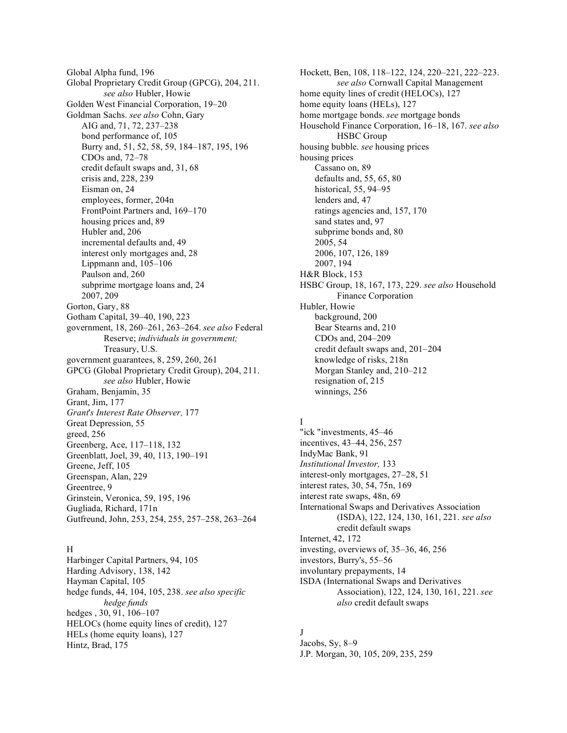Global Alpha fund, 196 Global Proprietary Credit Group (GPCG), 204, 211. *see also* Hubler, Howie Golden West Financial Corporation, 19–20 Goldman Sachs. *see also* Cohn, Gary AIG and, 71, 72, 237–238 bond performance of, 105 Burry and, 51, 52, 58, 59, 184–187, 195, 196 CDOs and, 72–78 credit default swaps and, 31, 68 crisis and, 228, 239 Eisman on, 24 employees, former, 204n FrontPoint Partners and, 169–170 housing prices and, 89 Hubler and, 206 incremental defaults and, 49 interest only mortgages and, 28 Lippmann and, 105–106 Paulson and, 260 subprime mortgage loans and, 24 2007, 209 Gorton, Gary, 88 Gotham Capital, 39–40, 190, 223 government, 18, 260–261, 263–264. *see also* Federal Reserve; *individuals in government;* Treasury, U.S. government guarantees, 8, 259, 260, 261 GPCG (Global Proprietary Credit Group), 204, 211. *see also* Hubler, Howie Graham, Benjamin, 35 Grant, Jim, 177 *Grant*'*s Interest Rate Observer,* 177 Great Depression, 55 greed, 256 Greenberg, Ace, 117–118, 132 Greenblatt, Joel, 39, 40, 113, 190–191 Greene, Jeff, 105 Greenspan, Alan, 229 Greentree, 9 Grinstein, Veronica, 59, 195, 196 Gugliada, Richard, 171n Gutfreund, John, 253, 254, 255, 257–258, 263–264

# H

Harbinger Capital Partners, 94, 105 Harding Advisory, 138, 142 Hayman Capital, 105 hedge funds, 44, 104, 105, 238. *see also specific hedge funds* hedges , 30, 91, 106–107 HELOCs (home equity lines of credit), 127 HELs (home equity loans), 127 Hintz, Brad, 175

Hockett, Ben, 108, 118–122, 124, 220–221, 222–223. *see also* Cornwall Capital Management home equity lines of credit (HELOCs), 127 home equity loans (HELs), 127 home mortgage bonds. *see* mortgage bonds Household Finance Corporation, 16–18, 167. *see also* HSBC Group housing bubble. *see* housing prices housing prices Cassano on, 89 defaults and, 55, 65, 80 historical, 55, 94–95 lenders and, 47 ratings agencies and, 157, 170 sand states and, 97 subprime bonds and, 80 2005, 54 2006, 107, 126, 189 2007, 194 H&R Block, 153 HSBC Group, 18, 167, 173, 229. *see also* Household Finance Corporation Hubler, Howie background, 200 Bear Stearns and, 210 CDOs and, 204–209 credit default swaps and, 201–204 knowledge of risks, 218n Morgan Stanley and, 210–212 resignation of, 215 winnings, 256

# I

"ick "investments, 45–46 incentives, 43–44, 256, 257 IndyMac Bank, 91 *Institutional Investor,* 133 interest-only mortgages, 27–28, 51 interest rates, 30, 54, 75n, 169 interest rate swaps, 48n, 69 International Swaps and Derivatives Association (ISDA), 122, 124, 130, 161, 221. *see also* credit default swaps Internet, 42, 172 investing, overviews of, 35–36, 46, 256 investors, Burry's, 55–56 involuntary prepayments, 14 ISDA (International Swaps and Derivatives Association), 122, 124, 130, 161, 221. *see also* credit default swaps

# J

Jacobs, Sy, 8–9 J.P. Morgan, 30, 105, 209, 235, 259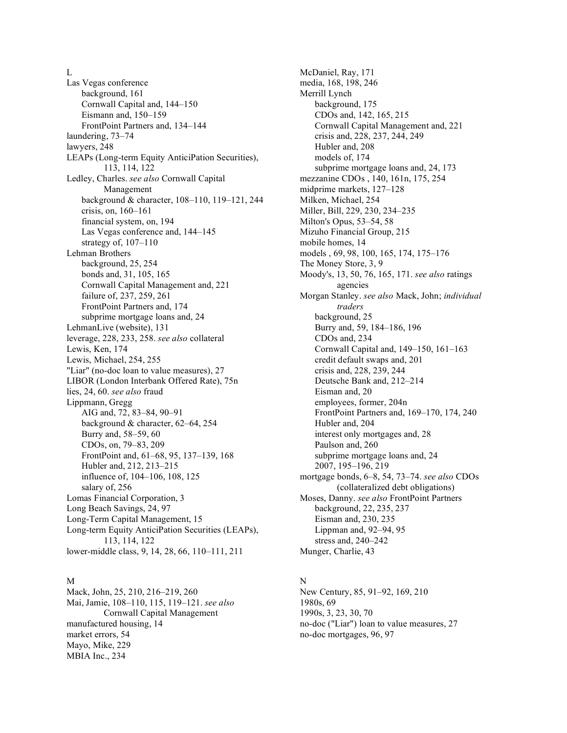L

Las Vegas conference background, 161 Cornwall Capital and, 144–150 Eismann and, 150–159 FrontPoint Partners and, 134–144 laundering, 73–74 lawyers, 248 LEAPs (Long-term Equity AnticiPation Securities), 113, 114, 122 Ledley, Charles. *see also* Cornwall Capital Management background & character, 108–110, 119–121, 244 crisis, on, 160–161 financial system, on, 194 Las Vegas conference and, 144–145 strategy of, 107–110 Lehman Brothers background, 25, 254 bonds and, 31, 105, 165 Cornwall Capital Management and, 221 failure of, 237, 259, 261 FrontPoint Partners and, 174 subprime mortgage loans and, 24 LehmanLive (website), 131 leverage, 228, 233, 258. *see also* collateral Lewis, Ken, 174 Lewis, Michael, 254, 255 "Liar" (no-doc loan to value measures), 27 LIBOR (London Interbank Offered Rate), 75n lies, 24, 60. *see also* fraud Lippmann, Gregg AIG and, 72, 83–84, 90–91 background & character, 62–64, 254 Burry and, 58–59, 60 CDOs, on, 79–83, 209 FrontPoint and, 61–68, 95, 137–139, 168 Hubler and, 212, 213–215 influence of, 104–106, 108, 125 salary of, 256 Lomas Financial Corporation, 3 Long Beach Savings, 24, 97 Long-Term Capital Management, 15 Long-term Equity AnticiPation Securities (LEAPs), 113, 114, 122 lower-middle class, 9, 14, 28, 66, 110–111, 211

# M

Mack, John, 25, 210, 216–219, 260 Mai, Jamie, 108–110, 115, 119–121. *see also* Cornwall Capital Management manufactured housing, 14 market errors, 54 Mayo, Mike, 229 MBIA Inc., 234

McDaniel, Ray, 171 media, 168, 198, 246 Merrill Lynch background, 175 CDOs and, 142, 165, 215 Cornwall Capital Management and, 221 crisis and, 228, 237, 244, 249 Hubler and, 208 models of, 174 subprime mortgage loans and, 24, 173 mezzanine CDOs , 140, 161n, 175, 254 midprime markets, 127–128 Milken, Michael, 254 Miller, Bill, 229, 230, 234–235 Milton's Opus, 53–54, 58 Mizuho Financial Group, 215 mobile homes, 14 models , 69, 98, 100, 165, 174, 175–176 The Money Store, 3, 9 Moody's, 13, 50, 76, 165, 171. *see also* ratings agencies Morgan Stanley. *see also* Mack, John; *individual traders* background, 25 Burry and, 59, 184–186, 196 CDOs and, 234 Cornwall Capital and, 149–150, 161–163 credit default swaps and, 201 crisis and, 228, 239, 244 Deutsche Bank and, 212–214 Eisman and, 20 employees, former, 204n FrontPoint Partners and, 169–170, 174, 240 Hubler and, 204 interest only mortgages and, 28 Paulson and, 260 subprime mortgage loans and, 24 2007, 195–196, 219 mortgage bonds, 6–8, 54, 73–74. *see also* CDOs (collateralized debt obligations) Moses, Danny. *see also* FrontPoint Partners background, 22, 235, 237 Eisman and, 230, 235 Lippman and, 92–94, 95 stress and, 240–242 Munger, Charlie, 43

# N

New Century, 85, 91–92, 169, 210 1980s, 69 1990s, 3, 23, 30, 70 no-doc ("Liar") loan to value measures, 27 no-doc mortgages, 96, 97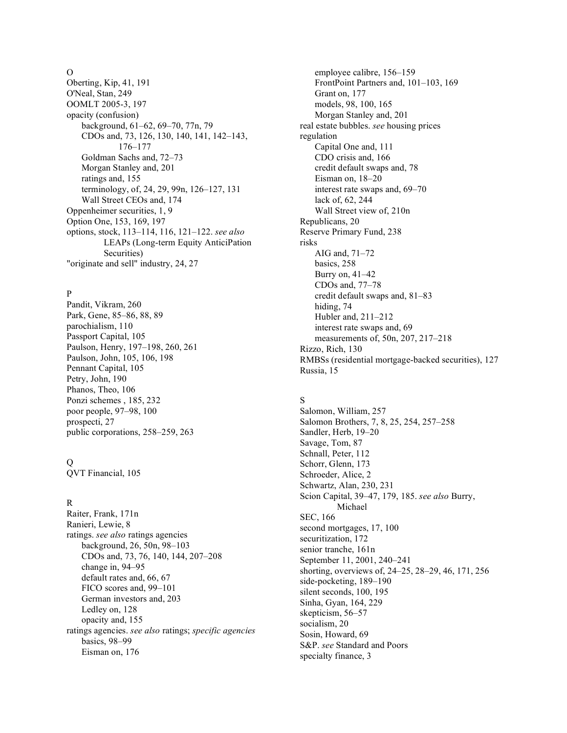#### O

Oberting, Kip, 41, 191 O'Neal, Stan, 249 OOMLT 2005-3, 197 opacity (confusion) background, 61–62, 69–70, 77n, 79 CDOs and, 73, 126, 130, 140, 141, 142–143, 176–177 Goldman Sachs and, 72–73 Morgan Stanley and, 201 ratings and, 155 terminology, of, 24, 29, 99n, 126–127, 131 Wall Street CEOs and, 174 Oppenheimer securities, 1, 9 Option One, 153, 169, 197 options, stock, 113–114, 116, 121–122. *see also* LEAPs (Long-term Equity AnticiPation Securities) "originate and sell" industry, 24, 27

### P

Pandit, Vikram, 260 Park, Gene, 85–86, 88, 89 parochialism, 110 Passport Capital, 105 Paulson, Henry, 197–198, 260, 261 Paulson, John, 105, 106, 198 Pennant Capital, 105 Petry, John, 190 Phanos, Theo, 106 Ponzi schemes , 185, 232 poor people, 97–98, 100 prospecti, 27 public corporations, 258–259, 263

# Q

QVT Financial, 105

# R

Raiter, Frank, 171n Ranieri, Lewie, 8 ratings. *see also* ratings agencies background, 26, 50n, 98–103 CDOs and, 73, 76, 140, 144, 207–208 change in, 94–95 default rates and, 66, 67 FICO scores and, 99–101 German investors and, 203 Ledley on, 128 opacity and, 155 ratings agencies. *see also* ratings; *specific agencies* basics, 98–99 Eisman on, 176

employee calibre, 156–159 FrontPoint Partners and, 101–103, 169 Grant on, 177 models, 98, 100, 165 Morgan Stanley and, 201 real estate bubbles. *see* housing prices regulation Capital One and, 111 CDO crisis and, 166 credit default swaps and, 78 Eisman on, 18–20 interest rate swaps and, 69–70 lack of, 62, 244 Wall Street view of, 210n Republicans, 20 Reserve Primary Fund, 238 risks AIG and, 71–72 basics, 258 Burry on, 41–42 CDOs and, 77–78 credit default swaps and, 81–83 hiding, 74 Hubler and, 211–212 interest rate swaps and, 69 measurements of, 50n, 207, 217–218 Rizzo, Rich, 130 RMBSs (residential mortgage-backed securities), 127 Russia, 15

# S

Salomon, William, 257 Salomon Brothers, 7, 8, 25, 254, 257–258 Sandler, Herb, 19–20 Savage, Tom, 87 Schnall, Peter, 112 Schorr, Glenn, 173 Schroeder, Alice, 2 Schwartz, Alan, 230, 231 Scion Capital, 39–47, 179, 185. *see also* Burry, Michael SEC, 166 second mortgages, 17, 100 securitization, 172 senior tranche, 161n September 11, 2001, 240–241 shorting, overviews of, 24–25, 28–29, 46, 171, 256 side-pocketing, 189–190 silent seconds, 100, 195 Sinha, Gyan, 164, 229 skepticism, 56–57 socialism, 20 Sosin, Howard, 69 S&P. *see* Standard and Poors specialty finance, 3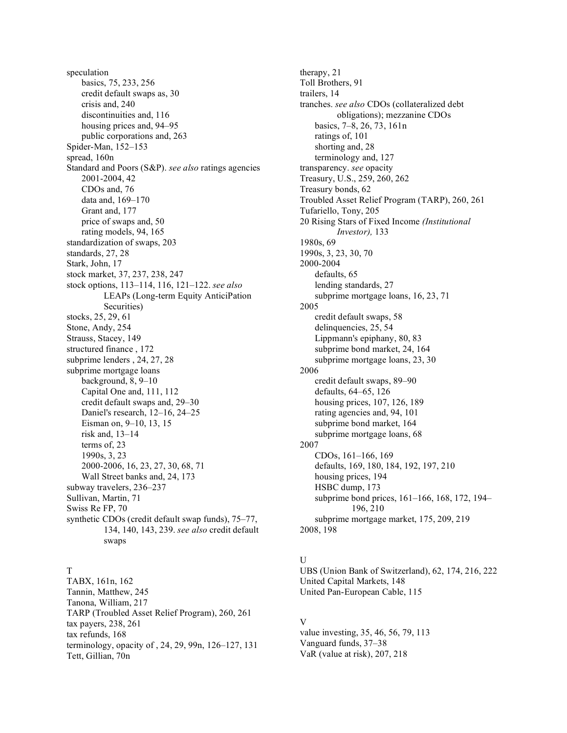speculation basics, 75, 233, 256 credit default swaps as, 30 crisis and, 240 discontinuities and, 116 housing prices and, 94–95 public corporations and, 263 Spider-Man, 152–153 spread, 160n Standard and Poors (S&P). *see also* ratings agencies 2001-2004, 42 CDOs and, 76 data and, 169–170 Grant and, 177 price of swaps and, 50 rating models, 94, 165 standardization of swaps, 203 standards, 27, 28 Stark, John, 17 stock market, 37, 237, 238, 247 stock options, 113–114, 116, 121–122. *see also* LEAPs (Long-term Equity AnticiPation Securities) stocks, 25, 29, 61 Stone, Andy, 254 Strauss, Stacey, 149 structured finance , 172 subprime lenders , 24, 27, 28 subprime mortgage loans background, 8, 9–10 Capital One and, 111, 112 credit default swaps and, 29–30 Daniel's research, 12–16, 24–25 Eisman on, 9–10, 13, 15 risk and, 13–14 terms of, 23 1990s, 3, 23 2000-2006, 16, 23, 27, 30, 68, 71 Wall Street banks and, 24, 173 subway travelers, 236–237 Sullivan, Martin, 71 Swiss Re FP, 70 synthetic CDOs (credit default swap funds), 75–77, 134, 140, 143, 239. *see also* credit default swaps

# T

TABX, 161n, 162 Tannin, Matthew, 245 Tanona, William, 217 TARP (Troubled Asset Relief Program), 260, 261 tax payers, 238, 261 tax refunds, 168 terminology, opacity of , 24, 29, 99n, 126–127, 131 Tett, Gillian, 70n

therapy, 21 Toll Brothers, 91 trailers, 14 tranches. *see also* CDOs (collateralized debt obligations); mezzanine CDOs basics, 7–8, 26, 73, 161n ratings of, 101 shorting and, 28 terminology and, 127 transparency. *see* opacity Treasury, U.S., 259, 260, 262 Treasury bonds, 62 Troubled Asset Relief Program (TARP), 260, 261 Tufariello, Tony, 205 20 Rising Stars of Fixed Income *(Institutional Investor),* 133 1980s, 69 1990s, 3, 23, 30, 70 2000-2004 defaults, 65 lending standards, 27 subprime mortgage loans, 16, 23, 71 2005 credit default swaps, 58 delinquencies, 25, 54 Lippmann's epiphany, 80, 83 subprime bond market, 24, 164 subprime mortgage loans, 23, 30 2006 credit default swaps, 89–90 defaults, 64–65, 126 housing prices, 107, 126, 189 rating agencies and, 94, 101 subprime bond market, 164 subprime mortgage loans, 68 2007 CDOs, 161–166, 169 defaults, 169, 180, 184, 192, 197, 210 housing prices, 194 HSBC dump, 173 subprime bond prices, 161–166, 168, 172, 194– 196, 210 subprime mortgage market, 175, 209, 219 2008, 198

# $\overline{U}$

UBS (Union Bank of Switzerland), 62, 174, 216, 222 United Capital Markets, 148 United Pan-European Cable, 115

# V

value investing, 35, 46, 56, 79, 113 Vanguard funds, 37–38 VaR (value at risk), 207, 218